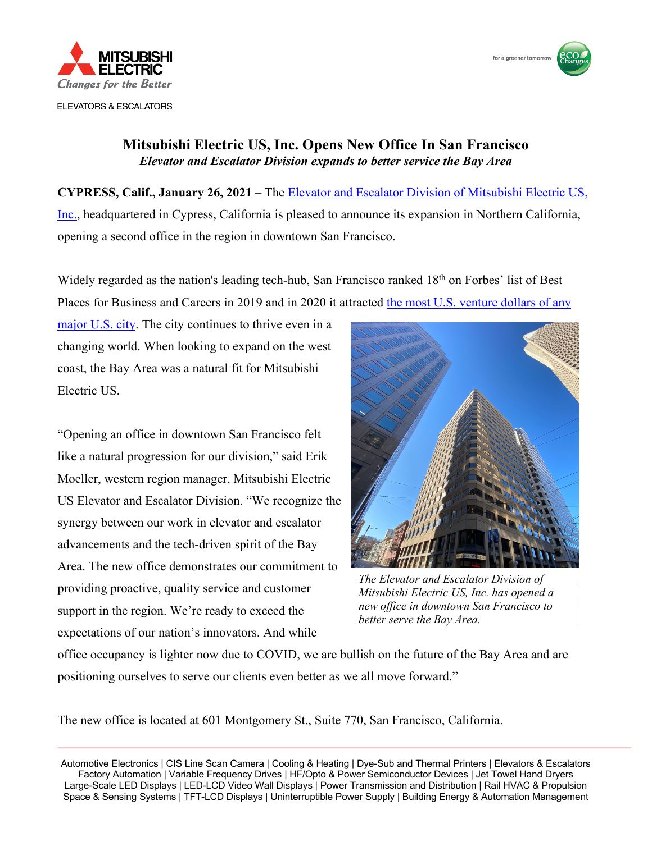

**ELEVATORS & ESCALATORS** 



## **Mitsubishi Electric US, Inc. Opens New Office In San Francisco** *Elevator and Escalator Division expands to better service the Bay Area*

**CYPRESS, Calif., January 26, 2021** – [The Elevator and Escalator Division of Mitsubishi Electric US,](https://www.mitsubishielevator.com) Inc., headquartered in Cypress, California is pleased to announce its expansion in Northern California, opening a second office in the region in downtown San Francisco.

Widely regarded as the nation's leading tech-hub, San Francisco ranked 18<sup>th</sup> on Forbes' list of Best Places for Business and Careers in 2019 and in 2020 it attracted the most U.S. venture dollars of any

major U.S. city. The city continues to thrive even in a changing world. When looking to expand on the west coast, the Bay Area was a natural fit for Mitsubishi Electric US.

"Opening an office in downtown San Francisco felt like a natural progression for our division," said Erik Moeller, western region manager, Mitsubishi Electric US Elevator and Escalator Division. "We recognize the synergy between our work in elevator and escalator advancements and the tech-driven spirit of the Bay Area. The new office demonstrates our commitment to providing proactive, quality service and customer support in the region. We're ready to exceed the expectations of our nation's innovators. And while



*The Elevator and Escalator Division of Mitsubishi Electric US, Inc. has opened a new office in downtown San Francisco to better serve the Bay Area.* 

office occupancy is lighter now due to COVID, we are bullish on the future of the Bay Area and are positioning ourselves to serve our clients even better as we all move forward."

The new office is located at 601 Montgomery St., Suite 770, San Francisco, California.

 Automotive Electronics | CIS Line Scan Camera | Cooling & Heating | Dye-Sub and Thermal Printers | Elevators & Escalators Factory Automation | Variable Frequency Drives | HF/Opto & Power Semiconductor Devices | Jet Towel Hand Dryers Large-Scale LED Displays | LED-LCD Video Wall Displays | Power Transmission and Distribution | Rail HVAC & Propulsion Space & Sensing Systems | TFT-LCD Displays | Uninterruptible Power Supply | Building Energy & Automation Management